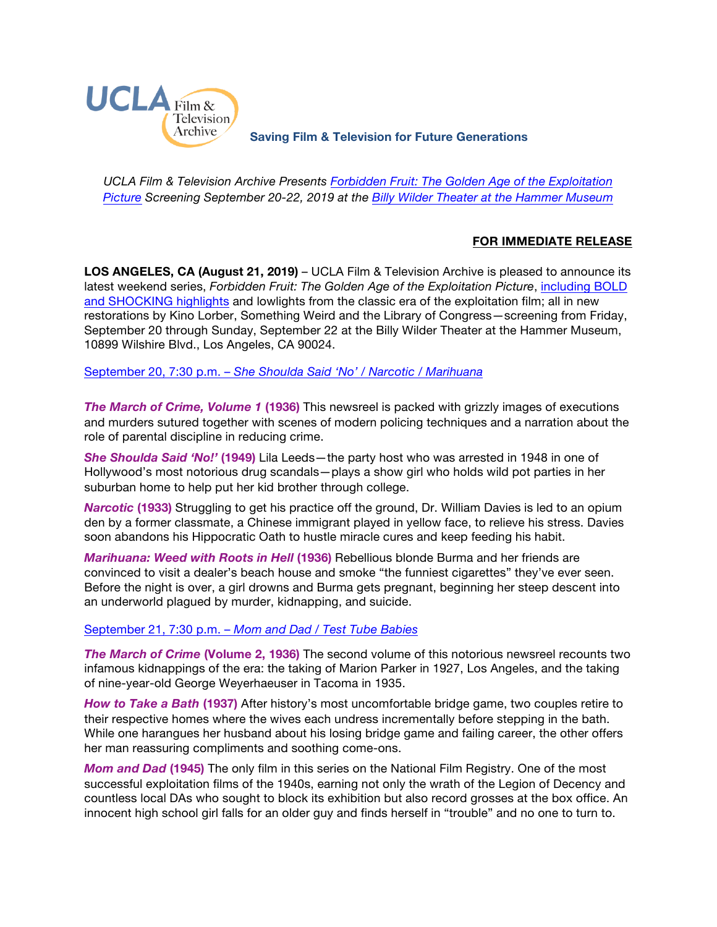

**Saving Film & Television for Future Generations**

*UCLA Film & Television Archive Presents [Forbidden Fruit: The Golden Age of the Exploitation](https://www.cinema.ucla.edu/events/2019/forbidden-fruit-golden-age-exploitation)  [Picture](https://www.cinema.ucla.edu/events/2019/forbidden-fruit-golden-age-exploitation) Screening September 20-22, 2019 at the [Billy Wilder Theater at the Hammer Museum](https://www.cinema.ucla.edu/billy-wilder-theater)*

# **FOR IMMEDIATE RELEASE**

**LOS ANGELES, CA (August 21, 2019)** – UCLA Film & Television Archive is pleased to announce its latest weekend series, *Forbidden Fruit: The Golden Age of the Exploitation Picture*, [including](https://youtu.be/vSSUTXaWNz8) BOLD [and SHOCKING](https://youtu.be/vSSUTXaWNz8) highlights and lowlights from the classic era of the exploitation film; all in new restorations by Kino Lorber, Something Weird and the Library of Congress—screening from Friday, September 20 through Sunday, September 22 at the Billy Wilder Theater at the Hammer Museum, 10899 Wilshire Blvd., Los Angeles, CA 90024.

[September 20, 7:30 p.m. –](https://www.cinema.ucla.edu/events/2019/09/20/she-shoulda-said-no-narcotic-marihuana) *She Shoulda Said 'No' / Narcotic / Marihuana*

*The March of Crime, Volume 1* **(1936)** This newsreel is packed with grizzly images of executions and murders sutured together with scenes of modern policing techniques and a narration about the role of parental discipline in reducing crime.

*She Shoulda Said 'No!'* **(1949)** Lila Leeds—the party host who was arrested in 1948 in one of Hollywood's most notorious drug scandals—plays a show girl who holds wild pot parties in her suburban home to help put her kid brother through college.

*Narcotic* **(1933)** Struggling to get his practice off the ground, Dr. William Davies is led to an opium den by a former classmate, a Chinese immigrant played in yellow face, to relieve his stress. Davies soon abandons his Hippocratic Oath to hustle miracle cures and keep feeding his habit.

*Marihuana: Weed with Roots in Hell* **(1936)** Rebellious blonde Burma and her friends are convinced to visit a dealer's beach house and smoke "the funniest cigarettes" they've ever seen. Before the night is over, a girl drowns and Burma gets pregnant, beginning her steep descent into an underworld plagued by murder, kidnapping, and suicide.

### [September 21, 7:30 p.m. –](https://www.cinema.ucla.edu/events/2019/09/21/mom-and-dad-test-tube-babies) *Mom and Dad / Test Tube Babies*

*The March of Crime* **(Volume 2, 1936)** The second volume of this notorious newsreel recounts two infamous kidnappings of the era: the taking of Marion Parker in 1927, Los Angeles, and the taking of nine-year-old George Weyerhaeuser in Tacoma in 1935.

*How to Take a Bath* **(1937)** After history's most uncomfortable bridge game, two couples retire to their respective homes where the wives each undress incrementally before stepping in the bath. While one harangues her husband about his losing bridge game and failing career, the other offers her man reassuring compliments and soothing come-ons.

*Mom and Dad* **(1945)** The only film in this series on the National Film Registry. One of the most successful exploitation films of the 1940s, earning not only the wrath of the Legion of Decency and countless local DAs who sought to block its exhibition but also record grosses at the box office. An innocent high school girl falls for an older guy and finds herself in "trouble" and no one to turn to.